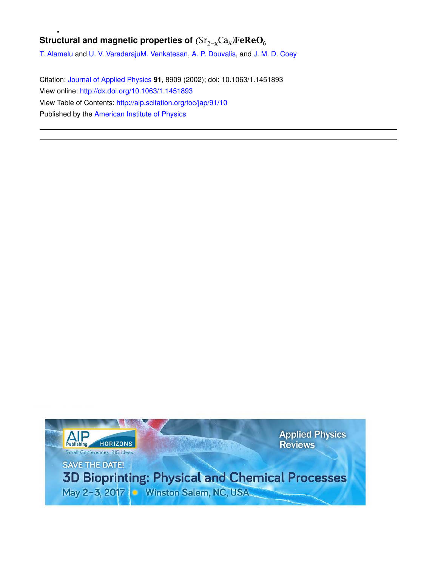# **Structural and magnetic properties of**  $(Sr_{2-x}Ca_x)FeReO_6$

T. Alamelu and U. V. VaradarajuM. Venkatesan, A. P. Douvalis, and J. M. D. Coey

Citation: Journal of Applied Physics **91**, 8909 (2002); doi: 10.1063/1.1451893 View online: http://dx.doi.org/10.1063/1.1451893 View Table of Contents: http://aip.scitation.org/toc/jap/91/10 Published by the American Institute of Physics

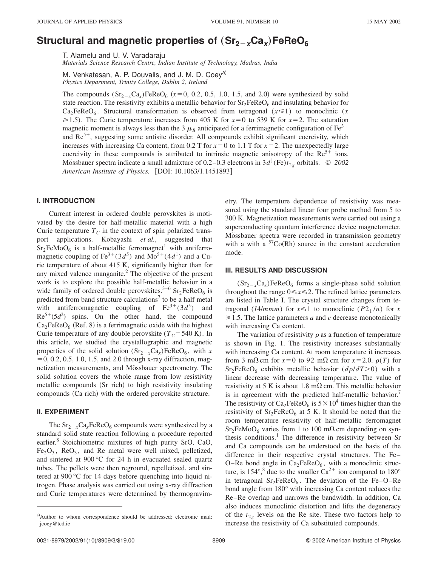# $\mathbf{S}$ tructural and magnetic properties of  $(\mathbf{Sr_{2-x}Ca}_{x})$ FeReO $_6$

T. Alamelu and U. V. Varadaraju

*Materials Science Research Centre, Indian Institute of Technology, Madras, India*

M. Venkatesan, A. P. Douvalis, and J. M. D. Coey<sup>a)</sup> *Physics Department, Trinity College, Dublin 2, Ireland*

The compounds  $(Sr_{2-x}Ca_x)FeReO_6$  ( $x=0, 0.2, 0.5, 1.0, 1.5,$  and 2.0) were synthesized by solid state reaction. The resistivity exhibits a metallic behavior for  $Sr_2FeReO_6$  and insulating behavior for  $Ca<sub>2</sub>FeReO<sub>6</sub>$ . Structural transformation is observed from tetragonal ( $x \le 1$ ) to monoclinic (*x*  $\geq$  1.5). The Curie temperature increases from 405 K for  $x=0$  to 539 K for  $x=2$ . The saturation magnetic moment is always less than the 3  $\mu_B$  anticipated for a ferrimagnetic configuration of Fe<sup>3+</sup> and  $\text{Re}^{5+}$ , suggesting some antisite disorder. All compounds exhibit significant coercivity, which increases with increasing Ca content, from 0.2 T for  $x=0$  to 1.1 T for  $x=2$ . The unexpectedly large coercivity in these compounds is attributed to intrinsic magnetic anisotropy of the  $\text{Re}^{5+}$  ions. Mössbauer spectra indicate a small admixture of 0.2–0.3 electrons in  $3d^{\downarrow}$ (Fe) $t_{2g}$  orbitals.  $\degree$  2002 *American Institute of Physics.* [DOI: 10.1063/1.1451893]

## **I. INTRODUCTION**

Current interest in ordered double perovskites is motivated by the desire for half-metallic material with a high Curie temperature  $T_c$  in the context of spin polarized transport applications. Kobayashi *et al.*, suggested that  $Sr_2FeMoO<sub>6</sub>$  is a half-metallic ferromagnet<sup>1</sup> with antiferromagnetic coupling of Fe<sup>3+</sup>(3 $d^5$ ) and Mo<sup>5+</sup>(4 $d^1$ ) and a Curie temperature of about 415 K, significantly higher than for any mixed valence manganite. $<sup>2</sup>$  The objective of the present</sup> work is to explore the possible half-metallic behavior in a wide family of ordered double perovskites.<sup>3-6</sup>  $Sr<sub>2</sub>FeReO<sub>6</sub>$  is predicted from band structure calculations<sup>7</sup> to be a half metal with antiferromagnetic coupling of  $\text{Fe}^{3+}(3d^5)$ ) and  $\text{Re}^{5+}(5d^2)$  spins. On the other hand, the compound  $Ca<sub>2</sub>FeReO<sub>6</sub>$  (Ref. 8) is a ferrimagnetic oxide with the highest Curie temperature of any double perovskite ( $T_C$ =540 K). In this article, we studied the crystallographic and magnetic properties of the solid solution  $(Sr_{2-x}Ca_x)FeReO_6$ , with *x*  $= 0, 0.2, 0.5, 1.0, 1.5,$  and 2.0 through x-ray diffraction, magnetization measurements, and Mossbauer spectrometry. The solid solution covers the whole range from low resistivity metallic compounds (Sr rich) to high resistivity insulating compounds (Ca rich) with the ordered perovskite structure.

### **II. EXPERIMENT**

The  $\text{Sr}_{2-x}\text{Ca}_{x}\text{FeReO}_{6}$  compounds were synthesized by a standard solid state reaction following a procedure reported earlier.<sup>8</sup> Stoichiometric mixtures of high purity SrO, CaO,  $Fe<sub>2</sub>O<sub>3</sub>$ , ReO<sub>3</sub>, and Re metal were well mixed, pelletized, and sintered at 900 °C for 24 h in evacuated sealed quartz tubes. The pellets were then reground, repelletized, and sintered at 900 °C for 14 days before quenching into liquid nitrogen. Phase analysis was carried out using x-ray diffraction and Curie temperatures were determined by thermogravimetry. The temperature dependence of resistivity was measured using the standard linear four probe method from 5 to 300 K. Magnetization measurements were carried out using a superconducting quantum interference device magnetometer. Mössbauer spectra were recorded in transmission geometry with a with a  $57Co(Rh)$  source in the constant acceleration mode.

#### **III. RESULTS AND DISCUSSION**

 $(Sr_{2-x}Ca_x)FeReO_6$  forms a single-phase solid solution throughout the range  $0 \le x \le 2$ . The refined lattice parameters are listed in Table I. The crystal structure changes from tetragonal (*IA/mmm*) for  $x \le 1$  to monoclinic (*P*2<sub>1</sub>/*n*) for *x*  $\geq 1.5$ . The lattice parameters *a* and *c* decrease monotonically with increasing Ca content.

The variation of resistivity  $\rho$  as a function of temperature is shown in Fig. 1. The resistivity increases substantially with increasing Ca content. At room temperature it increases from 3 m $\Omega$  cm for  $x=0$  to 92 m $\Omega$  cm for  $x=2.0$ .  $\rho(T)$  for  $Sr<sub>2</sub>FeReO<sub>6</sub>$  exhibits metallic behavior  $(d\rho/dT>0)$  with a linear decrease with decreasing temperature. The value of resistivity at 5 K is about 1.8 m $\Omega$  cm. This metallic behavior is in agreement with the predicted half-metallic behavior. The resistivity of Ca<sub>2</sub>FeReO<sub>6</sub> is  $5 \times 10^4$  times higher than the resistivity of  $Sr_2FeReO_6$  at 5 K. It should be noted that the room temperature resistivity of half-metallic ferromagnet  $Sr<sub>2</sub>FeMoO<sub>6</sub>$  varies from 1 to 100 m $\Omega$  cm depending on synthesis conditions.<sup>1</sup> The difference in resistivity between Sr and Ca compounds can be understood on the basis of the difference in their respective crystal structures. The Fe– O–Re bond angle in  $Ca<sub>2</sub>FeReO<sub>6</sub>$ , with a monoclinic structure, is 154°,<sup>8</sup> due to the smaller  $Ca^{2+}$  ion compared to 180° in tetragonal  $Sr_2FeReO_6$ . The deviation of the Fe–O–Re bond angle from 180° with increasing Ca content reduces the Re–Re overlap and narrows the bandwidth. In addition, Ca also induces monoclinic distortion and lifts the degeneracy of the  $t_{2g}$  levels on the Re site. These two factors help to increase the resistivity of Ca substituted compounds.

a)Author to whom correspondence should be addressed; electronic mail: jcoey@tcd.ie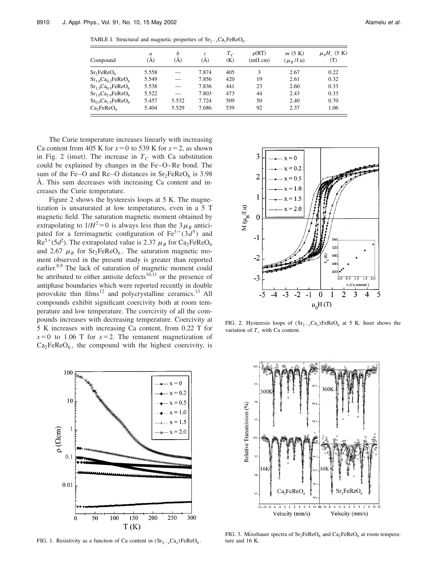TABLE I. Structural and magnetic properties of  $Sr_{2-x}Ca_xFeReO_6$ .

| Compound                                          | a<br>(A) | h<br>(A) | $\mathcal{C}_{0}$<br>(A) | $T_C$<br>(K) | $\rho(RT)$<br>$(m\Omega \text{ cm})$ | m(5 K)<br>$(\mu_B / \text{f.u})$ | $\mu_0 H_c$ (5 K)<br>(T) |
|---------------------------------------------------|----------|----------|--------------------------|--------------|--------------------------------------|----------------------------------|--------------------------|
| Sr <sub>2</sub> FeReO <sub>6</sub>                | 5.558    |          | 7.874                    | 405          | 3                                    | 2.67                             | 0.22                     |
| $Sr1.8 Ca0.2 FeReO6$                              | 5.549    |          | 7.856                    | 420          | 19                                   | 2.61                             | 0.32                     |
| $Sr_1$ <sub>5</sub> $Ca_0$ <sub>5</sub> $FeReO_6$ | 5.538    |          | 7.836                    | 441          | 23                                   | 2.60                             | 0.33                     |
| $Sr1.0 Ca1.0 FeReO6$                              | 5.522    |          | 7.803                    | 473          | 44                                   | 2.43                             | 0.33                     |
| $Sr_0$ <sub>5</sub> $Ca_1$ <sub>5</sub> $FeReO_6$ | 5.457    | 5.532    | 7.724                    | 509          | 50                                   | 2.40                             | 0.70                     |
| Ca <sub>2</sub> FeReO <sub>6</sub>                | 5.404    | 5.529    | 7.686                    | 539          | 92                                   | 2.37                             | 1.06                     |

The Curie temperature increases linearly with increasing Ca content from 405 K for  $x=0$  to 539 K for  $x=2$ , as shown in Fig. 2 (inset). The increase in  $T_C$  with Ca substitution could be explained by changes in the Fe–O–Re bond. The sum of the Fe–O and Re–O distances in  $Sr<sub>2</sub>FeReO<sub>6</sub>$  is 3.98 Å. This sum decreases with increasing Ca content and increases the Curie temperature.

Figure 2 shows the hysteresis loops at 5 K. The magnetization is unsaturated at low temperatures, even in a 5 T magnetic field. The saturation magnetic moment obtained by extrapolating to  $1/H^2 = 0$  is always less than the 3 $\mu_B$  anticipated for a ferrimagnetic configuration of  $\text{Fe}^{3+}$ ( $3d^{5}$ ) and  $\text{Re}^{5+}(5d^2)$ . The extrapolated value is 2.37  $\mu_B$  for Ca<sub>2</sub>FeReO<sub>6</sub> and 2.67  $\mu_B$  for Sr<sub>2</sub>FeReO<sub>6</sub>. The saturation magnetic moment observed in the present study is greater than reported earlier.<sup>8,9</sup> The lack of saturation of magnetic moment could be attributed to either antisite defects $10,11$  or the presence of antiphase boundaries which were reported recently in double perovskite thin  $films<sup>12</sup>$  and polycrystalline ceramics.<sup>13</sup> All compounds exhibit significant coercivity both at room temperature and low temperature. The coercivity of all the compounds increases with decreasing temperature. Coercivity at 5 K increases with increasing Ca content, from 0.22 T for  $x=0$  to 1.06 T for  $x=2$ . The remanent magnetization of  $Ca<sub>2</sub>FeReO<sub>6</sub>$ , the compound with the highest coercivity, is



FIG. 1. Resistivity as a function of Ca content in  $(Sr_{2-x}Ca_x)FeReO_6$ .



FIG. 2. Hysteresis loops of  $(Sr_{2-x}Ca_x)FeReO_6$  at 5 K. Inset shows the variation of  $T_c$  with Ca content.



FIG. 3. Mössbauer spectra of  $Sr_2FeReO_6$  and  $Ca_2FeReO_6$  at room temperature and 16 K.